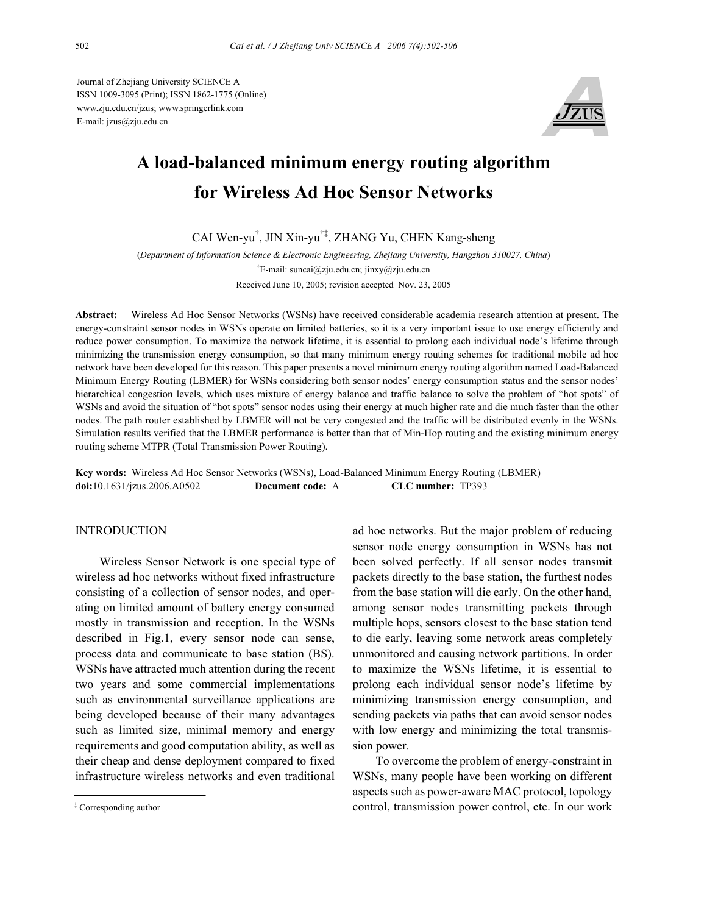Journal of Zhejiang University SCIENCE A ISSN 1009-3095 (Print); ISSN 1862-1775 (Online) www.zju.edu.cn/jzus; www.springerlink.com E-mail: jzus@zju.edu.cn



# **A load-balanced minimum energy routing algorithm for Wireless Ad Hoc Sensor Networks**

CAI Wen-yu† , JIN Xin-yu†‡, ZHANG Yu, CHEN Kang-sheng

(*Department of Information Science & Electronic Engineering, Zhejiang University, Hangzhou 310027, China*) † E-mail: suncai@zju.edu.cn; jinxy@zju.edu.cn Received June 10, 2005; revision accepted Nov. 23, 2005

**Abstract:** Wireless Ad Hoc Sensor Networks (WSNs) have received considerable academia research attention at present. The energy-constraint sensor nodes in WSNs operate on limited batteries, so it is a very important issue to use energy efficiently and reduce power consumption. To maximize the network lifetime, it is essential to prolong each individual node's lifetime through minimizing the transmission energy consumption, so that many minimum energy routing schemes for traditional mobile ad hoc network have been developed for this reason. This paper presents a novel minimum energy routing algorithm named Load-Balanced Minimum Energy Routing (LBMER) for WSNs considering both sensor nodes' energy consumption status and the sensor nodes' hierarchical congestion levels, which uses mixture of energy balance and traffic balance to solve the problem of "hot spots" of WSNs and avoid the situation of "hot spots" sensor nodes using their energy at much higher rate and die much faster than the other nodes. The path router established by LBMER will not be very congested and the traffic will be distributed evenly in the WSNs. Simulation results verified that the LBMER performance is better than that of Min-Hop routing and the existing minimum energy routing scheme MTPR (Total Transmission Power Routing).

**Key words:** Wireless Ad Hoc Sensor Networks (WSNs), Load-Balanced Minimum Energy Routing (LBMER) **doi:**10.1631/jzus.2006.A0502 **Document code:** A **CLC number:** TP393

#### **INTRODUCTION**

Wireless Sensor Network is one special type of wireless ad hoc networks without fixed infrastructure consisting of a collection of sensor nodes, and operating on limited amount of battery energy consumed mostly in transmission and reception. In the WSNs described in Fig.1, every sensor node can sense, process data and communicate to base station (BS). WSNs have attracted much attention during the recent two years and some commercial implementations such as environmental surveillance applications are being developed because of their many advantages such as limited size, minimal memory and energy requirements and good computation ability, as well as their cheap and dense deployment compared to fixed infrastructure wireless networks and even traditional

ad hoc networks. But the major problem of reducing sensor node energy consumption in WSNs has not been solved perfectly. If all sensor nodes transmit packets directly to the base station, the furthest nodes from the base station will die early. On the other hand, among sensor nodes transmitting packets through multiple hops, sensors closest to the base station tend to die early, leaving some network areas completely unmonitored and causing network partitions. In order to maximize the WSNs lifetime, it is essential to prolong each individual sensor node's lifetime by minimizing transmission energy consumption, and sending packets via paths that can avoid sensor nodes with low energy and minimizing the total transmission power.

To overcome the problem of energy-constraint in WSNs, many people have been working on different aspects such as power-aware MAC protocol, topology control, transmission power control, etc. In our work ‡

Corresponding author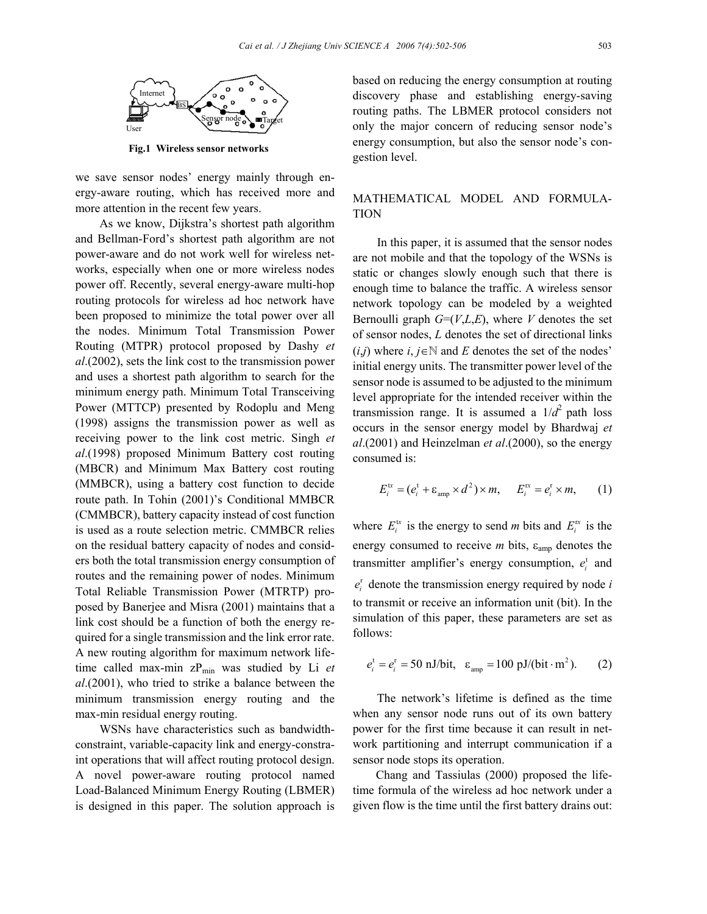

**Fig.1 Wireless sensor networks**

we save sensor nodes' energy mainly through energy-aware routing, which has received more and more attention in the recent few years.

As we know, Dijkstra's shortest path algorithm and Bellman-Ford's shortest path algorithm are not power-aware and do not work well for wireless networks, especially when one or more wireless nodes power off. Recently, several energy-aware multi-hop routing protocols for wireless ad hoc network have been proposed to minimize the total power over all the nodes. Minimum Total Transmission Power Routing (MTPR) protocol proposed by Dashy *et al*.(2002), sets the link cost to the transmission power and uses a shortest path algorithm to search for the minimum energy path. Minimum Total Transceiving Power (MTTCP) presented by Rodoplu and Meng (1998) assigns the transmission power as well as receiving power to the link cost metric. Singh *et al*.(1998) proposed Minimum Battery cost routing (MBCR) and Minimum Max Battery cost routing (MMBCR), using a battery cost function to decide route path. In Tohin (2001)'s Conditional MMBCR (CMMBCR), battery capacity instead of cost function is used as a route selection metric. CMMBCR relies on the residual battery capacity of nodes and considers both the total transmission energy consumption of routes and the remaining power of nodes. Minimum Total Reliable Transmission Power (MTRTP) proposed by Banerjee and Misra (2001) maintains that a link cost should be a function of both the energy required for a single transmission and the link error rate. A new routing algorithm for maximum network lifetime called max-min zP<sub>min</sub> was studied by Li et *al*.(2001), who tried to strike a balance between the minimum transmission energy routing and the max-min residual energy routing.

WSNs have characteristics such as bandwidthconstraint, variable-capacity link and energy-constraint operations that will affect routing protocol design. A novel power-aware routing protocol named Load-Balanced Minimum Energy Routing (LBMER) is designed in this paper. The solution approach is based on reducing the energy consumption at routing discovery phase and establishing energy-saving routing paths. The LBMER protocol considers not only the major concern of reducing sensor node's energy consumption, but also the sensor node's congestion level.

## MATHEMATICAL MODEL AND FORMULA-TION

In this paper, it is assumed that the sensor nodes are not mobile and that the topology of the WSNs is static or changes slowly enough such that there is enough time to balance the traffic. A wireless sensor network topology can be modeled by a weighted Bernoulli graph  $G=(V,L,E)$ , where *V* denotes the set of sensor nodes, *L* denotes the set of directional links  $(i,j)$  where  $i, j \in \mathbb{N}$  and *E* denotes the set of the nodes' initial energy units. The transmitter power level of the sensor node is assumed to be adjusted to the minimum level appropriate for the intended receiver within the transmission range. It is assumed a  $1/d^2$  path loss occurs in the sensor energy model by Bhardwaj *et al*.(2001) and Heinzelman *et al*.(2000), so the energy consumed is:

$$
E_i^{\text{tx}} = (e_i^{\text{t}} + \varepsilon_{\text{amp}} \times d^2) \times m, \quad E_i^{\text{rx}} = e_i^{\text{r}} \times m, \quad (1)
$$

where  $E_i^{\text{tr}}$  is the energy to send *m* bits and  $E_i^{\text{tr}}$  is the energy consumed to receive *m* bits, εamp denotes the transmitter amplifier's energy consumption,  $e_i^t$  and  $e_i^r$  denote the transmission energy required by node  $i$ to transmit or receive an information unit (bit). In the simulation of this paper, these parameters are set as follows:

$$
e_i^t = e_i^r = 50
$$
 nJ/bit,  $\varepsilon_{amp} = 100$  pJ/(bit·m<sup>2</sup>). (2)

The network's lifetime is defined as the time when any sensor node runs out of its own battery power for the first time because it can result in network partitioning and interrupt communication if a sensor node stops its operation.

Chang and Tassiulas (2000) proposed the lifetime formula of the wireless ad hoc network under a given flow is the time until the first battery drains out: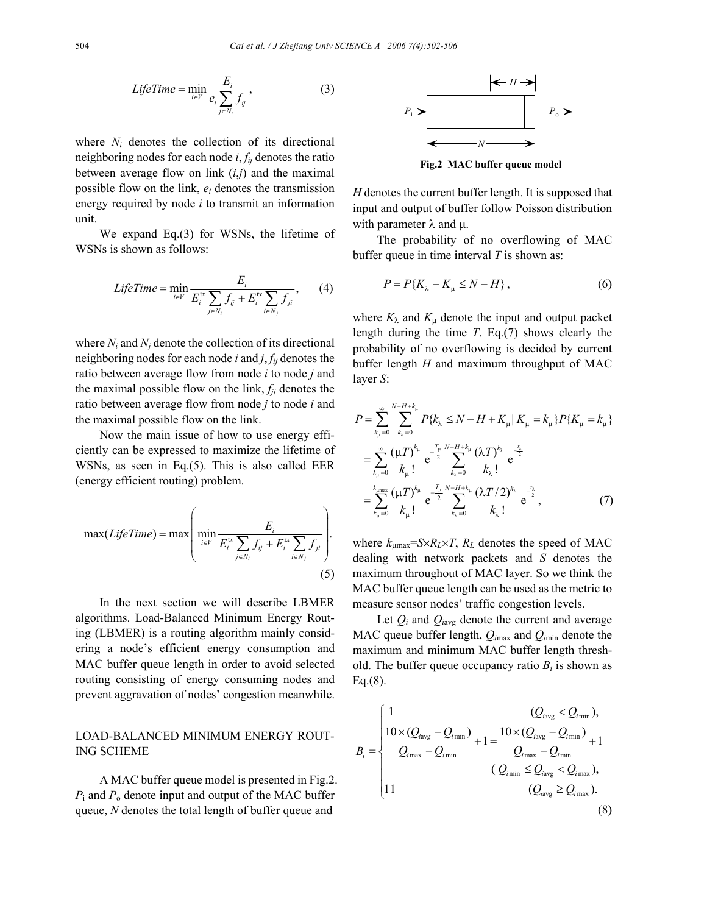$$
Lif \textit{eTime} = \min_{i \in V} \frac{E_i}{e_i \sum_{j \in N_i} f_{ij}}, \tag{3}
$$

where  $N_i$  denotes the collection of its directional neighboring nodes for each node *i*, *fij* denotes the ratio between average flow on link (*i*,*j*) and the maximal possible flow on the link, *ei* denotes the transmission energy required by node *i* to transmit an information unit.

We expand Eq.(3) for WSNs, the lifetime of WSNs is shown as follows:

$$
Lif \textit{eTime} = \min_{i \in V} \frac{E_i}{E_i^{\text{tx}} \sum_{j \in N_i} f_{ij} + E_i^{\text{tx}} \sum_{i \in N_j} f_{ji}}, \qquad (4)
$$

where  $N_i$  and  $N_j$  denote the collection of its directional neighboring nodes for each node *i* and *j*, *fij* denotes the ratio between average flow from node *i* to node *j* and the maximal possible flow on the link,  $f_{ji}$  denotes the ratio between average flow from node *j* to node *i* and the maximal possible flow on the link.

Now the main issue of how to use energy efficiently can be expressed to maximize the lifetime of WSNs, as seen in Eq.(5). This is also called EER (energy efficient routing) problem.

$$
\max(Liferime) = \max \left( \min_{i \in V} \frac{E_i}{E_i^{\text{tx}} \sum_{j \in N_i} f_{ij} + E_i^{\text{tx}} \sum_{i \in N_j} f_{ji}} \right).
$$
\n(5)

In the next section we will describe LBMER algorithms. Load-Balanced Minimum Energy Routing (LBMER) is a routing algorithm mainly considering a node's efficient energy consumption and MAC buffer queue length in order to avoid selected routing consisting of energy consuming nodes and prevent aggravation of nodes' congestion meanwhile.

### LOAD-BALANCED MINIMUM ENERGY ROUT-ING SCHEME

A MAC buffer queue model is presented in Fig.2.  $P_i$  and  $P_o$  denote input and output of the MAC buffer queue, *N* denotes the total length of buffer queue and



**Fig.2 MAC buffer queue model** 

*H* denotes the current buffer length. It is supposed that input and output of buffer follow Poisson distribution with parameter  $\lambda$  and  $\mu$ .

The probability of no overflowing of MAC buffer queue in time interval *T* is shown as:

$$
P = P\{K_{\lambda} - K_{\mu} \le N - H\},\tag{6}
$$

where  $K_{\lambda}$  and  $K_{\mu}$  denote the input and output packet length during the time *T*. Eq.(7) shows clearly the probability of no overflowing is decided by current buffer length *H* and maximum throughput of MAC layer *S*:

$$
P = \sum_{k_{\mu}=0}^{\infty} \sum_{k_{\lambda}=0}^{N-H+k_{\mu}} P\{k_{\lambda} \le N - H + K_{\mu} | K_{\mu} = k_{\mu}\} P\{K_{\mu} = k_{\mu}\}
$$
  
\n
$$
= \sum_{k_{\mu}=0}^{\infty} \frac{(\mu T)^{k_{\mu}}}{k_{\mu}!} e^{-\frac{T_{\mu}}{2}} \sum_{k_{\lambda}=0}^{N-H+k_{\mu}} \frac{(\lambda T)^{k_{\lambda}}}{k_{\lambda}!} e^{-\frac{T_{\lambda}}{2}}
$$
  
\n
$$
= \sum_{k_{\mu}=0}^{k_{\max}} \frac{(\mu T)^{k_{\mu}}}{k_{\mu}!} e^{-\frac{T_{\mu}}{2}} \sum_{k_{\lambda}=0}^{N-H+k_{\mu}} \frac{(\lambda T/2)^{k_{\lambda}}}{k_{\lambda}!} e^{-\frac{T_{\lambda}}{2}}, \qquad (7)
$$

where  $k_{\mu\text{max}}$ = $S \times R_L \times T$ ,  $R_L$  denotes the speed of MAC dealing with network packets and *S* denotes the maximum throughout of MAC layer. So we think the MAC buffer queue length can be used as the metric to measure sensor nodes' traffic congestion levels.

Let  $Q_i$  and  $Q_{iavg}$  denote the current and average MAC queue buffer length, *Qi*max and *Qi*min denote the maximum and minimum MAC buffer length threshold. The buffer queue occupancy ratio  $B_i$  is shown as Eq.(8).

$$
B_{i} = \begin{cases} 1 & (Q_{i\text{avg}} < Q_{i\text{min}}), \\ \frac{10 \times (Q_{i\text{avg}} - Q_{i\text{min}})}{Q_{i\text{max}} - Q_{i\text{min}}} + 1 = \frac{10 \times (Q_{i\text{avg}} - Q_{i\text{min}})}{Q_{i\text{max}} - Q_{i\text{min}}} + 1 \\ & (Q_{i\text{min}} \le Q_{i\text{avg}} < Q_{i\text{max}}), \\ 11 & (Q_{i\text{avg}} \ge Q_{i\text{max}}). \end{cases}
$$
(8)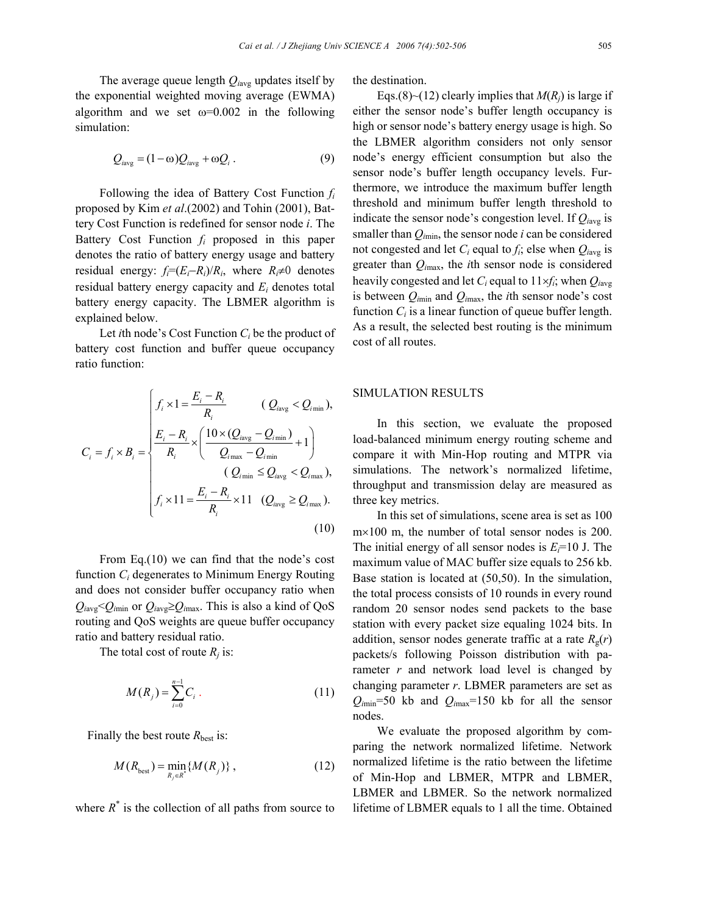The average queue length  $Q_{iavg}$  updates itself by the exponential weighted moving average (EWMA) algorithm and we set  $\omega$ =0.002 in the following simulation:

$$
Q_{\text{iavg}} = (1 - \omega)Q_{\text{iavg}} + \omega Q_i. \tag{9}
$$

Following the idea of Battery Cost Function *fi* proposed by Kim *et al*.(2002) and Tohin (2001), Battery Cost Function is redefined for sensor node *i*. The Battery Cost Function *fi* proposed in this paper denotes the ratio of battery energy usage and battery residual energy:  $f_i=(E_i-R_i)/R_i$ , where  $R_i\neq 0$  denotes residual battery energy capacity and *Ei* denotes total battery energy capacity. The LBMER algorithm is explained below.

Let *i*th node's Cost Function *Ci* be the product of battery cost function and buffer queue occupancy ratio function:

$$
C_{i} = f_{i} \times B_{i} = \begin{cases} f_{i} \times 1 = \frac{E_{i} - R_{i}}{R_{i}} & (\ Q_{i\text{avg}} < Q_{i\text{min}}), \\ \frac{E_{i} - R_{i}}{R_{i}} \times \left( \frac{10 \times (Q_{i\text{avg}} - Q_{i\text{min}})}{Q_{i\text{max}} - Q_{i\text{min}}} + 1 \right) \\ (Q_{i\text{min}} \le Q_{i\text{avg}} < Q_{i\text{max}}), \\ f_{i} \times 11 = \frac{E_{i} - R_{i}}{R_{i}} \times 11 & (Q_{i\text{avg}} \ge Q_{i\text{max}}). \end{cases} \tag{10}
$$

From Eq.(10) we can find that the node's cost function *Ci* degenerates to Minimum Energy Routing and does not consider buffer occupancy ratio when  $Q_{i\text{avg}}$ < $Q_{i\text{min}}$  or  $Q_{i\text{avg}} \geq Q_{i\text{max}}$ . This is also a kind of QoS routing and QoS weights are queue buffer occupancy ratio and battery residual ratio.

The total cost of route  $R_i$  is:

$$
M(R_j) = \sum_{i=0}^{n-1} C_i \,. \tag{11}
$$

Finally the best route  $R_{\text{best}}$  is:

$$
M(R_{\text{best}}) = \min_{R_j \in R^*} \{ M(R_j) \},\tag{12}
$$

where  $R^*$  is the collection of all paths from source to

the destination.

Eqs.(8)~(12) clearly implies that  $M(R<sub>i</sub>)$  is large if either the sensor node's buffer length occupancy is high or sensor node's battery energy usage is high. So the LBMER algorithm considers not only sensor node's energy efficient consumption but also the sensor node's buffer length occupancy levels. Furthermore, we introduce the maximum buffer length threshold and minimum buffer length threshold to indicate the sensor node's congestion level. If *Qi*avg is smaller than *Qi*min, the sensor node *i* can be considered not congested and let  $C_i$  equal to  $f_i$ ; else when  $Q_{i \text{ave}}$  is greater than *Qi*max, the *i*th sensor node is considered heavily congested and let  $C_i$  equal to  $11 \times f_i$ ; when  $Q_{i \text{avg}}$ is between *Qi*min and *Qi*max, the *i*th sensor node's cost function  $C_i$  is a linear function of queue buffer length. As a result, the selected best routing is the minimum cost of all routes.

#### SIMULATION RESULTS

In this section, we evaluate the proposed load-balanced minimum energy routing scheme and compare it with Min-Hop routing and MTPR via simulations. The network's normalized lifetime, throughput and transmission delay are measured as three key metrics.

In this set of simulations, scene area is set as 100 m×100 m, the number of total sensor nodes is 200. The initial energy of all sensor nodes is  $E<sub>i</sub>=10$  J. The maximum value of MAC buffer size equals to 256 kb. Base station is located at (50,50). In the simulation, the total process consists of 10 rounds in every round random 20 sensor nodes send packets to the base station with every packet size equaling 1024 bits. In addition, sensor nodes generate traffic at a rate  $R<sub>g</sub>(r)$ packets/s following Poisson distribution with parameter *r* and network load level is changed by changing parameter *r*. LBMER parameters are set as  $Q_{\text{imin}}$ =50 kb and  $Q_{\text{imax}}$ =150 kb for all the sensor nodes.

We evaluate the proposed algorithm by comparing the network normalized lifetime. Network normalized lifetime is the ratio between the lifetime of Min-Hop and LBMER, MTPR and LBMER, LBMER and LBMER. So the network normalized lifetime of LBMER equals to 1 all the time. Obtained